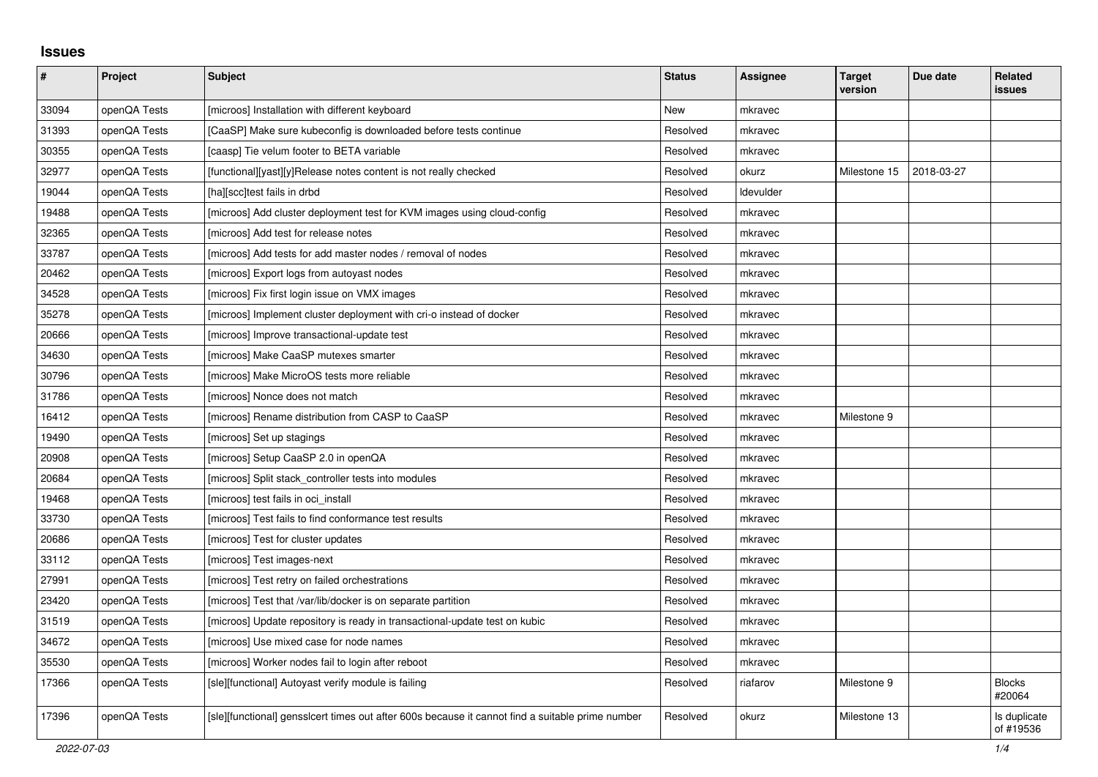## **Issues**

| $\vert$ # | Project      | <b>Subject</b>                                                                                   | <b>Status</b> | <b>Assignee</b> | <b>Target</b><br>version | Due date   | <b>Related</b><br><b>issues</b> |
|-----------|--------------|--------------------------------------------------------------------------------------------------|---------------|-----------------|--------------------------|------------|---------------------------------|
| 33094     | openQA Tests | [microos] Installation with different keyboard                                                   | <b>New</b>    | mkravec         |                          |            |                                 |
| 31393     | openQA Tests | [CaaSP] Make sure kubeconfig is downloaded before tests continue                                 | Resolved      | mkravec         |                          |            |                                 |
| 30355     | openQA Tests | [caasp] Tie velum footer to BETA variable                                                        | Resolved      | mkravec         |                          |            |                                 |
| 32977     | openQA Tests | [functional][yast][y]Release notes content is not really checked                                 | Resolved      | okurz           | Milestone 15             | 2018-03-27 |                                 |
| 19044     | openQA Tests | [ha][scc]test fails in drbd                                                                      | Resolved      | Idevulder       |                          |            |                                 |
| 19488     | openQA Tests | [microos] Add cluster deployment test for KVM images using cloud-config                          | Resolved      | mkravec         |                          |            |                                 |
| 32365     | openQA Tests | [microos] Add test for release notes                                                             | Resolved      | mkravec         |                          |            |                                 |
| 33787     | openQA Tests | [microos] Add tests for add master nodes / removal of nodes                                      | Resolved      | mkravec         |                          |            |                                 |
| 20462     | openQA Tests | [microos] Export logs from autoyast nodes                                                        | Resolved      | mkravec         |                          |            |                                 |
| 34528     | openQA Tests | [microos] Fix first login issue on VMX images                                                    | Resolved      | mkravec         |                          |            |                                 |
| 35278     | openQA Tests | [microos] Implement cluster deployment with cri-o instead of docker                              | Resolved      | mkravec         |                          |            |                                 |
| 20666     | openQA Tests | [microos] Improve transactional-update test                                                      | Resolved      | mkravec         |                          |            |                                 |
| 34630     | openQA Tests | [microos] Make CaaSP mutexes smarter                                                             | Resolved      | mkravec         |                          |            |                                 |
| 30796     | openQA Tests | [microos] Make MicroOS tests more reliable                                                       | Resolved      | mkravec         |                          |            |                                 |
| 31786     | openQA Tests | [microos] Nonce does not match                                                                   | Resolved      | mkravec         |                          |            |                                 |
| 16412     | openQA Tests | [microos] Rename distribution from CASP to CaaSP                                                 | Resolved      | mkravec         | Milestone 9              |            |                                 |
| 19490     | openQA Tests | [microos] Set up stagings                                                                        | Resolved      | mkravec         |                          |            |                                 |
| 20908     | openQA Tests | [microos] Setup CaaSP 2.0 in openQA                                                              | Resolved      | mkravec         |                          |            |                                 |
| 20684     | openQA Tests | [microos] Split stack controller tests into modules                                              | Resolved      | mkravec         |                          |            |                                 |
| 19468     | openQA Tests | [microos] test fails in oci install                                                              | Resolved      | mkravec         |                          |            |                                 |
| 33730     | openQA Tests | [microos] Test fails to find conformance test results                                            | Resolved      | mkravec         |                          |            |                                 |
| 20686     | openQA Tests | [microos] Test for cluster updates                                                               | Resolved      | mkravec         |                          |            |                                 |
| 33112     | openQA Tests | [microos] Test images-next                                                                       | Resolved      | mkravec         |                          |            |                                 |
| 27991     | openQA Tests | [microos] Test retry on failed orchestrations                                                    | Resolved      | mkravec         |                          |            |                                 |
| 23420     | openQA Tests | [microos] Test that /var/lib/docker is on separate partition                                     | Resolved      | mkravec         |                          |            |                                 |
| 31519     | openQA Tests | [microos] Update repository is ready in transactional-update test on kubic                       | Resolved      | mkravec         |                          |            |                                 |
| 34672     | openQA Tests | [microos] Use mixed case for node names                                                          | Resolved      | mkravec         |                          |            |                                 |
| 35530     | openQA Tests | [microos] Worker nodes fail to login after reboot                                                | Resolved      | mkravec         |                          |            |                                 |
| 17366     | openQA Tests | [sle][functional] Autoyast verify module is failing                                              | Resolved      | riafarov        | Milestone 9              |            | <b>Blocks</b><br>#20064         |
| 17396     | openQA Tests | [sle][functional] gensslcert times out after 600s because it cannot find a suitable prime number | Resolved      | okurz           | Milestone 13             |            | Is duplicate<br>of #19536       |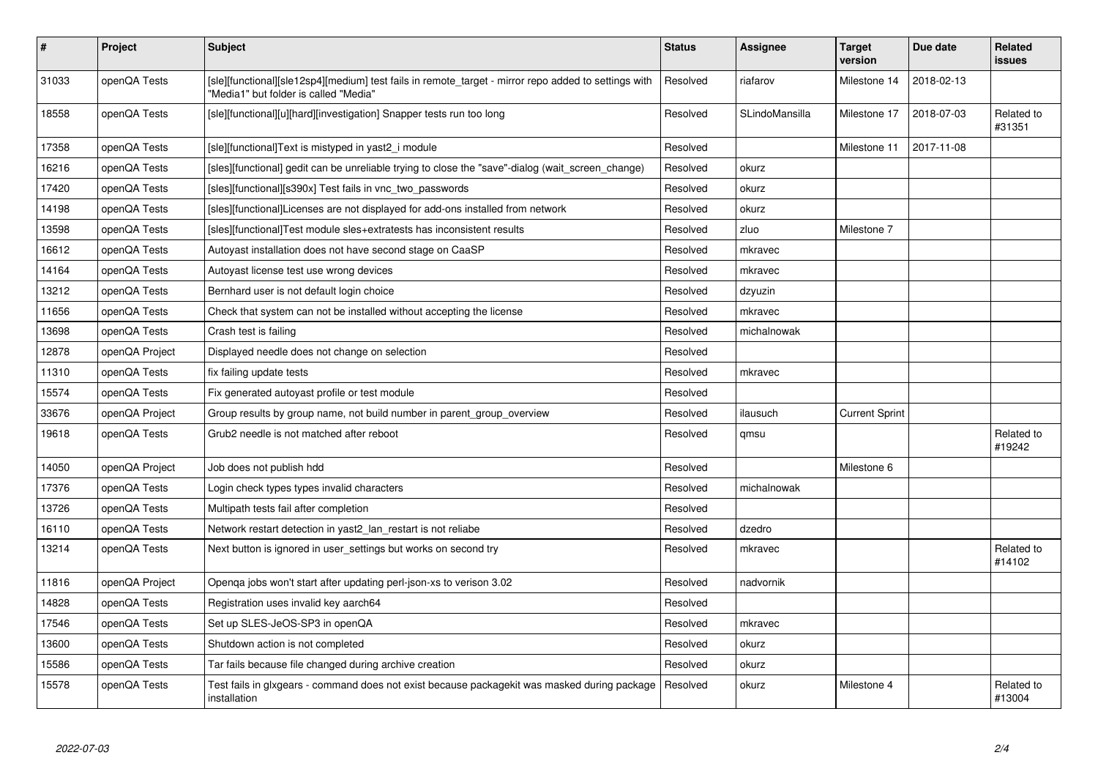| $\pmb{\#}$ | Project        | <b>Subject</b>                                                                                                                                | <b>Status</b> | <b>Assignee</b> | <b>Target</b><br>version | Due date   | <b>Related</b><br><b>issues</b> |
|------------|----------------|-----------------------------------------------------------------------------------------------------------------------------------------------|---------------|-----------------|--------------------------|------------|---------------------------------|
| 31033      | openQA Tests   | [sle][functional][sle12sp4][medium] test fails in remote_target - mirror repo added to settings with<br>"Media1" but folder is called "Media" | Resolved      | riafarov        | Milestone 14             | 2018-02-13 |                                 |
| 18558      | openQA Tests   | [sle][functional][u][hard][investigation] Snapper tests run too long                                                                          | Resolved      | SLindoMansilla  | Milestone 17             | 2018-07-03 | Related to<br>#31351            |
| 17358      | openQA Tests   | [sle][functional]Text is mistyped in yast2 i module                                                                                           | Resolved      |                 | Milestone 11             | 2017-11-08 |                                 |
| 16216      | openQA Tests   | [sles][functional] gedit can be unreliable trying to close the "save"-dialog (wait_screen_change)                                             | Resolved      | okurz           |                          |            |                                 |
| 17420      | openQA Tests   | [sles][functional][s390x] Test fails in vnc_two_passwords                                                                                     | Resolved      | okurz           |                          |            |                                 |
| 14198      | openQA Tests   | [sles][functional]Licenses are not displayed for add-ons installed from network                                                               | Resolved      | okurz           |                          |            |                                 |
| 13598      | openQA Tests   | [sles][functional]Test module sles+extratests has inconsistent results                                                                        | Resolved      | zluo            | Milestone 7              |            |                                 |
| 16612      | openQA Tests   | Autoyast installation does not have second stage on CaaSP                                                                                     | Resolved      | mkravec         |                          |            |                                 |
| 14164      | openQA Tests   | Autoyast license test use wrong devices                                                                                                       | Resolved      | mkravec         |                          |            |                                 |
| 13212      | openQA Tests   | Bernhard user is not default login choice                                                                                                     | Resolved      | dzyuzin         |                          |            |                                 |
| 11656      | openQA Tests   | Check that system can not be installed without accepting the license                                                                          | Resolved      | mkravec         |                          |            |                                 |
| 13698      | openQA Tests   | Crash test is failing                                                                                                                         | Resolved      | michalnowak     |                          |            |                                 |
| 12878      | openQA Project | Displayed needle does not change on selection                                                                                                 | Resolved      |                 |                          |            |                                 |
| 11310      | openQA Tests   | fix failing update tests                                                                                                                      | Resolved      | mkravec         |                          |            |                                 |
| 15574      | openQA Tests   | Fix generated autoyast profile or test module                                                                                                 | Resolved      |                 |                          |            |                                 |
| 33676      | openQA Project | Group results by group name, not build number in parent_group_overview                                                                        | Resolved      | ilausuch        | <b>Current Sprint</b>    |            |                                 |
| 19618      | openQA Tests   | Grub2 needle is not matched after reboot                                                                                                      | Resolved      | qmsu            |                          |            | Related to<br>#19242            |
| 14050      | openQA Project | Job does not publish hdd                                                                                                                      | Resolved      |                 | Milestone 6              |            |                                 |
| 17376      | openQA Tests   | Login check types types invalid characters                                                                                                    | Resolved      | michalnowak     |                          |            |                                 |
| 13726      | openQA Tests   | Multipath tests fail after completion                                                                                                         | Resolved      |                 |                          |            |                                 |
| 16110      | openQA Tests   | Network restart detection in yast2_lan_restart is not reliabe                                                                                 | Resolved      | dzedro          |                          |            |                                 |
| 13214      | openQA Tests   | Next button is ignored in user_settings but works on second try                                                                               | Resolved      | mkravec         |                          |            | Related to<br>#14102            |
| 11816      | openQA Project | Openga jobs won't start after updating perl-json-xs to verison 3.02                                                                           | Resolved      | nadvornik       |                          |            |                                 |
| 14828      | openQA Tests   | Registration uses invalid key aarch64                                                                                                         | Resolved      |                 |                          |            |                                 |
| 17546      | openQA Tests   | Set up SLES-JeOS-SP3 in openQA                                                                                                                | Resolved      | mkravec         |                          |            |                                 |
| 13600      | openQA Tests   | Shutdown action is not completed                                                                                                              | Resolved      | okurz           |                          |            |                                 |
| 15586      | openQA Tests   | Tar fails because file changed during archive creation                                                                                        | Resolved      | okurz           |                          |            |                                 |
| 15578      | openQA Tests   | Test fails in glxgears - command does not exist because packagekit was masked during package<br>installation                                  | Resolved      | okurz           | Milestone 4              |            | Related to<br>#13004            |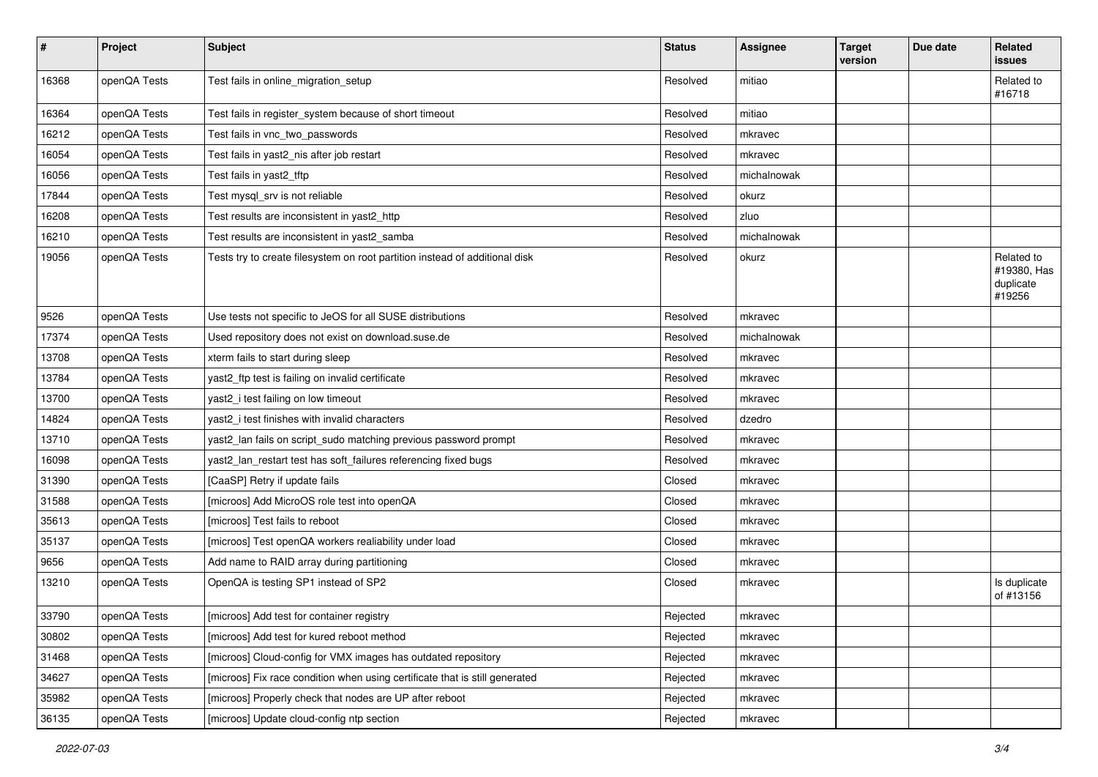| $\pmb{\#}$ | Project      | <b>Subject</b>                                                              | <b>Status</b> | <b>Assignee</b> | <b>Target</b><br>version | Due date | Related<br>issues                                |
|------------|--------------|-----------------------------------------------------------------------------|---------------|-----------------|--------------------------|----------|--------------------------------------------------|
| 16368      | openQA Tests | Test fails in online_migration_setup                                        | Resolved      | mitiao          |                          |          | Related to<br>#16718                             |
| 16364      | openQA Tests | Test fails in register_system because of short timeout                      | Resolved      | mitiao          |                          |          |                                                  |
| 16212      | openQA Tests | Test fails in vnc_two_passwords                                             | Resolved      | mkravec         |                          |          |                                                  |
| 16054      | openQA Tests | Test fails in yast2_nis after job restart                                   | Resolved      | mkravec         |                          |          |                                                  |
| 16056      | openQA Tests | Test fails in yast2_tftp                                                    | Resolved      | michalnowak     |                          |          |                                                  |
| 17844      | openQA Tests | Test mysql_srv is not reliable                                              | Resolved      | okurz           |                          |          |                                                  |
| 16208      | openQA Tests | Test results are inconsistent in yast2_http                                 | Resolved      | zluo            |                          |          |                                                  |
| 16210      | openQA Tests | Test results are inconsistent in yast2_samba                                | Resolved      | michalnowak     |                          |          |                                                  |
| 19056      | openQA Tests | Tests try to create filesystem on root partition instead of additional disk | Resolved      | okurz           |                          |          | Related to<br>#19380, Has<br>duplicate<br>#19256 |
| 9526       | openQA Tests | Use tests not specific to JeOS for all SUSE distributions                   | Resolved      | mkravec         |                          |          |                                                  |
| 17374      | openQA Tests | Used repository does not exist on download.suse.de                          | Resolved      | michalnowak     |                          |          |                                                  |
| 13708      | openQA Tests | xterm fails to start during sleep                                           | Resolved      | mkravec         |                          |          |                                                  |
| 13784      | openQA Tests | yast2_ftp test is failing on invalid certificate                            | Resolved      | mkravec         |                          |          |                                                  |
| 13700      | openQA Tests | yast2_i test failing on low timeout                                         | Resolved      | mkravec         |                          |          |                                                  |
| 14824      | openQA Tests | yast2_i test finishes with invalid characters                               | Resolved      | dzedro          |                          |          |                                                  |
| 13710      | openQA Tests | yast2_lan fails on script_sudo matching previous password prompt            | Resolved      | mkravec         |                          |          |                                                  |
| 16098      | openQA Tests | yast2_lan_restart test has soft_failures referencing fixed bugs             | Resolved      | mkravec         |                          |          |                                                  |
| 31390      | openQA Tests | [CaaSP] Retry if update fails                                               | Closed        | mkravec         |                          |          |                                                  |
| 31588      | openQA Tests | [microos] Add MicroOS role test into openQA                                 | Closed        | mkravec         |                          |          |                                                  |
| 35613      | openQA Tests | [microos] Test fails to reboot                                              | Closed        | mkravec         |                          |          |                                                  |
| 35137      | openQA Tests | [microos] Test openQA workers realiability under load                       | Closed        | mkravec         |                          |          |                                                  |
| 9656       | openQA Tests | Add name to RAID array during partitioning                                  | Closed        | mkravec         |                          |          |                                                  |
| 13210      | openQA Tests | OpenQA is testing SP1 instead of SP2                                        | Closed        | mkravec         |                          |          | Is duplicate<br>of #13156                        |
| 33790      | openQA Tests | [microos] Add test for container registry                                   | Rejected      | mkravec         |                          |          |                                                  |
| 30802      | openQA Tests | [microos] Add test for kured reboot method                                  | Rejected      | mkravec         |                          |          |                                                  |
| 31468      | openQA Tests | [microos] Cloud-config for VMX images has outdated repository               | Rejected      | mkravec         |                          |          |                                                  |
| 34627      | openQA Tests | [microos] Fix race condition when using certificate that is still generated | Rejected      | mkravec         |                          |          |                                                  |
| 35982      | openQA Tests | [microos] Properly check that nodes are UP after reboot                     | Rejected      | mkravec         |                          |          |                                                  |
| 36135      | openQA Tests | [microos] Update cloud-config ntp section                                   | Rejected      | mkravec         |                          |          |                                                  |